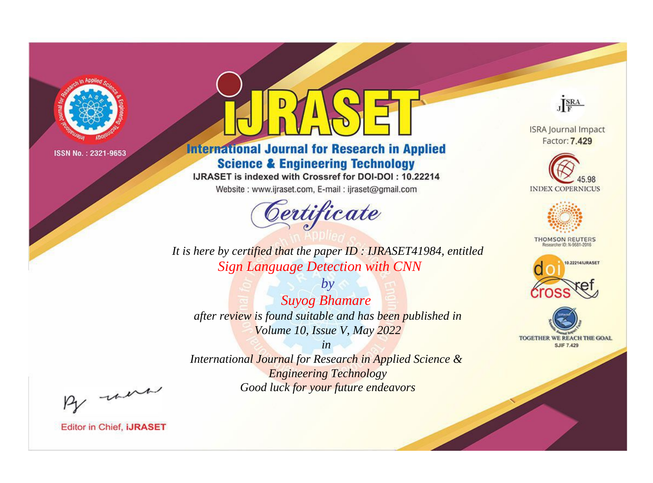

# **International Journal for Research in Applied Science & Engineering Technology**

IJRASET is indexed with Crossref for DOI-DOI: 10.22214

Website: www.ijraset.com, E-mail: ijraset@gmail.com



JERA **ISRA Journal Impact** 

Factor: 7.429





**THOMSON REUTERS** 



TOGETHER WE REACH THE GOAL **SJIF 7.429** 

*It is here by certified that the paper ID : IJRASET41984, entitled Sign Language Detection with CNN*

*by Suyog Bhamare after review is found suitable and has been published in Volume 10, Issue V, May 2022*

*in* 

*International Journal for Research in Applied Science & Engineering Technology Good luck for your future endeavors*

By morn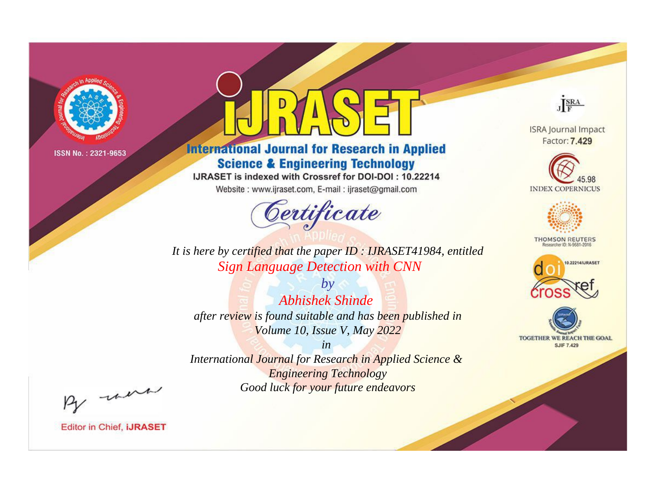

# **International Journal for Research in Applied Science & Engineering Technology**

IJRASET is indexed with Crossref for DOI-DOI: 10.22214

Website: www.ijraset.com, E-mail: ijraset@gmail.com



**ISRA Journal Impact** Factor: 7.429

JERA

**INDEX COPERNICUS** 



**THOMSON REUTERS** 



TOGETHER WE REACH THE GOAL **SJIF 7.429** 

*It is here by certified that the paper ID : IJRASET41984, entitled Sign Language Detection with CNN*

*by Abhishek Shinde after review is found suitable and has been published in Volume 10, Issue V, May 2022*

*in* 

*International Journal for Research in Applied Science & Engineering Technology Good luck for your future endeavors*

By morn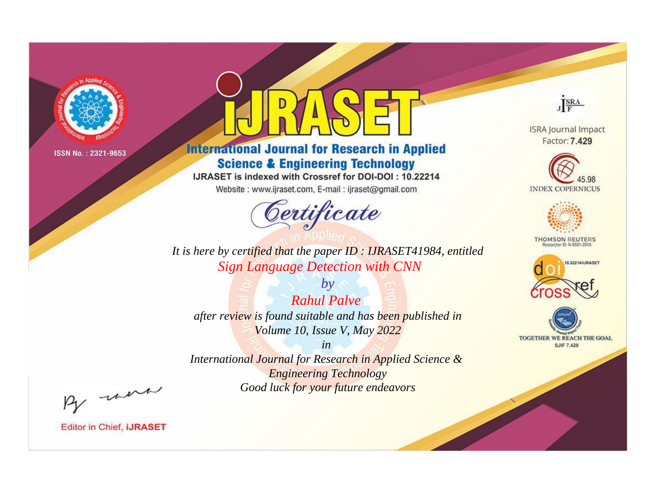

# **International Journal for Research in Applied Science & Engineering Technology**

IJRASET is indexed with Crossref for DOI-DOI: 10.22214

Website: www.ijraset.com, E-mail: ijraset@gmail.com



**ISRA Journal Impact** Factor: 7.429

JERA





**THOMSON REUTERS** 



TOGETHER WE REACH THE GOAL **SJIF 7.429** 

It is here by certified that the paper ID: IJRASET41984, entitled **Sign Language Detection with CNN** 

 $by$ **Rahul Palve** after review is found suitable and has been published in Volume 10, Issue V, May 2022

 $in$ International Journal for Research in Applied Science & **Engineering Technology** Good luck for your future endeavors

By morn